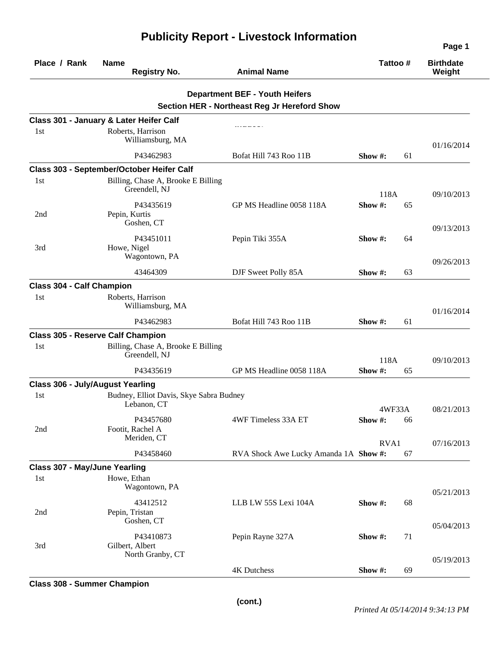|                                         |                                                        |                                                                                       |            |    | Page 1                     |  |
|-----------------------------------------|--------------------------------------------------------|---------------------------------------------------------------------------------------|------------|----|----------------------------|--|
| Place / Rank                            | <b>Name</b><br><b>Registry No.</b>                     | <b>Animal Name</b>                                                                    | Tattoo #   |    | <b>Birthdate</b><br>Weight |  |
|                                         |                                                        | <b>Department BEF - Youth Heifers</b><br>Section HER - Northeast Reg Jr Hereford Show |            |    |                            |  |
|                                         | Class 301 - January & Later Heifer Calf                |                                                                                       |            |    |                            |  |
| 1st                                     | Roberts, Harrison<br>Williamsburg, MA                  |                                                                                       |            |    | 01/16/2014                 |  |
|                                         | P43462983                                              | Bofat Hill 743 Roo 11B                                                                | Show #:    | 61 |                            |  |
|                                         | Class 303 - September/October Heifer Calf              |                                                                                       |            |    |                            |  |
| 1st                                     | Billing, Chase A, Brooke E Billing<br>Greendell, NJ    |                                                                                       | 118A       |    | 09/10/2013                 |  |
| 2nd                                     | P43435619<br>Pepin, Kurtis<br>Goshen, CT               | GP MS Headline 0058 118A                                                              | Show#:     | 65 |                            |  |
| 3rd                                     | P43451011<br>Howe, Nigel<br>Wagontown, PA              | Pepin Tiki 355A                                                                       | Show #:    | 64 | 09/13/2013                 |  |
|                                         | 43464309                                               | DJF Sweet Polly 85A                                                                   | Show $#$ : | 63 | 09/26/2013                 |  |
| <b>Class 304 - Calf Champion</b>        |                                                        |                                                                                       |            |    |                            |  |
| 1st                                     | Roberts, Harrison                                      |                                                                                       |            |    |                            |  |
|                                         | Williamsburg, MA                                       |                                                                                       |            |    | 01/16/2014                 |  |
|                                         | P43462983                                              | Bofat Hill 743 Roo 11B                                                                | Show #:    | 61 |                            |  |
|                                         | <b>Class 305 - Reserve Calf Champion</b>               |                                                                                       |            |    |                            |  |
| 1st                                     | Billing, Chase A, Brooke E Billing<br>Greendell, NJ    |                                                                                       | 118A       |    | 09/10/2013                 |  |
|                                         | P43435619                                              | GP MS Headline 0058 118A                                                              | Show #:    | 65 |                            |  |
| <b>Class 306 - July/August Yearling</b> |                                                        |                                                                                       |            |    |                            |  |
| 1st                                     | Budney, Elliot Davis, Skye Sabra Budney<br>Lebanon, CT |                                                                                       | 4WF33A     |    | 08/21/2013                 |  |
| 2nd                                     | P43457680<br>Footit, Rachel A<br>Meriden, CT           | 4WF Timeless 33A ET                                                                   | Show #:    | 66 |                            |  |
|                                         | P43458460                                              | RVA Shock Awe Lucky Amanda 1A Show #:                                                 | RVA1       | 67 | 07/16/2013                 |  |
| Class 307 - May/June Yearling           |                                                        |                                                                                       |            |    |                            |  |
| 1st                                     | Howe, Ethan<br>Wagontown, PA                           |                                                                                       |            |    |                            |  |
| 2nd                                     | 43412512<br>Pepin, Tristan<br>Goshen, CT               | LLB LW 55S Lexi 104A                                                                  | Show #:    | 68 | 05/21/2013                 |  |
| 3rd                                     | P43410873<br>Gilbert, Albert<br>North Granby, CT       | Pepin Rayne 327A                                                                      | Show #:    | 71 | 05/04/2013                 |  |
|                                         |                                                        | 4K Dutchess                                                                           | Show #:    | 69 | 05/19/2013                 |  |

### **Class 308 - Summer Champion**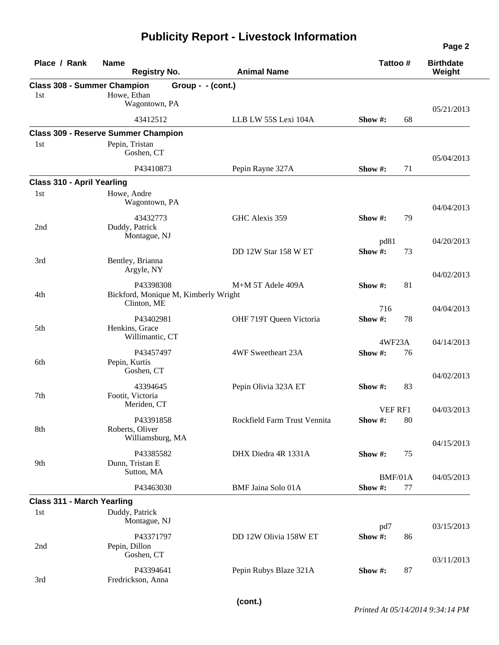| Place / Rank                              | <b>Name</b><br><b>Registry No.</b>                               | <b>Animal Name</b>           | Tattoo#                  | <b>Birthdate</b><br>Weight |
|-------------------------------------------|------------------------------------------------------------------|------------------------------|--------------------------|----------------------------|
| <b>Class 308 - Summer Champion</b><br>1st | Group - - (cont.)<br>Howe, Ethan<br>Wagontown, PA                |                              |                          |                            |
|                                           | 43412512                                                         | LLB LW 55S Lexi 104A         | 68<br>Show $#$ :         | 05/21/2013                 |
|                                           | <b>Class 309 - Reserve Summer Champion</b>                       |                              |                          |                            |
| 1st                                       | Pepin, Tristan<br>Goshen, CT                                     |                              |                          | 05/04/2013                 |
|                                           | P43410873                                                        | Pepin Rayne 327A             | Show #:<br>71            |                            |
| <b>Class 310 - April Yearling</b>         |                                                                  |                              |                          |                            |
| 1st                                       | Howe, Andre<br>Wagontown, PA                                     |                              |                          | 04/04/2013                 |
| 2nd                                       | 43432773<br>Duddy, Patrick<br>Montague, NJ                       | GHC Alexis 359               | Show #:<br>79            |                            |
| 3rd                                       | Bentley, Brianna                                                 | DD 12W Star 158 W ET         | pd81<br>Show#:<br>73     | 04/20/2013                 |
|                                           | Argyle, NY                                                       |                              |                          | 04/02/2013                 |
| 4th                                       | P43398308<br>Bickford, Monique M, Kimberly Wright<br>Clinton, ME | M+M 5T Adele 409A            | 81<br>Show #:            |                            |
|                                           | P43402981                                                        | OHF 719T Queen Victoria      | 716<br>Show#:<br>78      | 04/04/2013                 |
| 5th                                       | Henkins, Grace<br>Willimantic, CT                                |                              | 4WF23A                   | 04/14/2013                 |
| 6th                                       | P43457497<br>Pepin, Kurtis<br>Goshen, CT                         | 4WF Sweetheart 23A           | Show#:<br>76             |                            |
| 7th                                       | 43394645<br>Footit, Victoria<br>Meriden, CT                      | Pepin Olivia 323A ET         | 83<br>Show #:            | 04/02/2013                 |
| 8th                                       | P43391858<br>Roberts, Oliver                                     | Rockfield Farm Trust Vennita | VEF RF1<br>Show #:<br>80 | 04/03/2013                 |
| 9th                                       | Williamsburg, MA<br>P43385582<br>Dunn, Tristan E                 | DHX Diedra 4R 1331A          | 75<br>Show #:            | 04/15/2013                 |
|                                           | Sutton, MA                                                       |                              | BMF/01A                  | 04/05/2013                 |
|                                           | P43463030                                                        | <b>BMF Jaina Solo 01A</b>    | Show #:<br>77            |                            |
| <b>Class 311 - March Yearling</b>         |                                                                  |                              |                          |                            |
| 1st                                       | Duddy, Patrick<br>Montague, NJ                                   |                              | pd7                      | 03/15/2013                 |
| 2nd                                       | P43371797<br>Pepin, Dillon<br>Goshen, CT                         | DD 12W Olivia 158W ET        | Show#:<br>86             |                            |
| 3rd                                       | P43394641<br>Fredrickson, Anna                                   | Pepin Rubys Blaze 321A       | 87<br>Show #:            | 03/11/2013                 |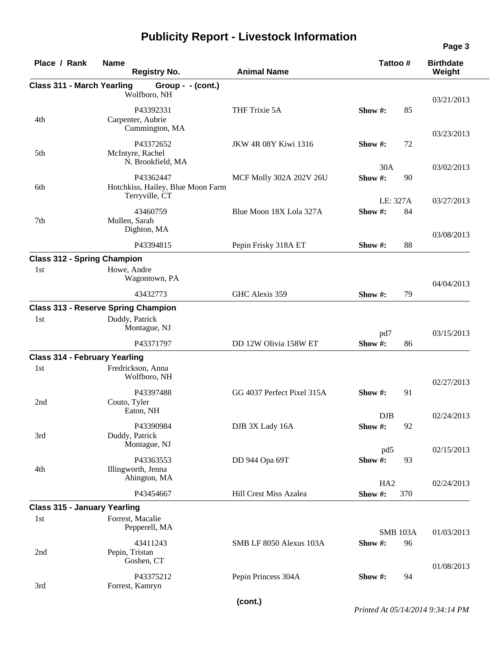| Place / Rank                         | <b>Name</b><br><b>Registry No.</b>                  | <b>Animal Name</b>            | Tattoo#         | <b>Birthdate</b><br>Weight |
|--------------------------------------|-----------------------------------------------------|-------------------------------|-----------------|----------------------------|
| <b>Class 311 - March Yearling</b>    | Group - - (cont.)                                   |                               |                 |                            |
|                                      | Wolfboro, NH                                        |                               |                 |                            |
|                                      | P43392331                                           | THF Trixie 5A                 | Show $#$ :      | 03/21/2013<br>85           |
| 4th                                  | Carpenter, Aubrie                                   |                               |                 |                            |
|                                      | Cummington, MA                                      |                               |                 | 03/23/2013                 |
|                                      | P43372652                                           | JKW 4R 08Y Kiwi 1316          | Show #:         | 72                         |
| 5th                                  | McIntyre, Rachel                                    |                               |                 |                            |
|                                      | N. Brookfield, MA                                   |                               | 30A             | 03/02/2013                 |
|                                      | P43362447                                           | MCF Molly 302A 202V 26U       | Show#:          | 90                         |
| 6th                                  | Hotchkiss, Hailey, Blue Moon Farm<br>Terryville, CT |                               |                 |                            |
|                                      |                                                     |                               | LE: 327A        | 03/27/2013                 |
| 7th                                  | 43460759<br>Mullen, Sarah                           | Blue Moon 18X Lola 327A       | Show#:          | 84                         |
|                                      | Dighton, MA                                         |                               |                 |                            |
|                                      |                                                     |                               |                 | 03/08/2013                 |
|                                      | P43394815                                           | Pepin Frisky 318A ET          | Show $#$ :      | 88                         |
| <b>Class 312 - Spring Champion</b>   |                                                     |                               |                 |                            |
| 1st                                  | Howe, Andre<br>Wagontown, PA                        |                               |                 |                            |
|                                      |                                                     |                               |                 | 04/04/2013                 |
|                                      | 43432773                                            | GHC Alexis 359                | Show #:         | 79                         |
|                                      | <b>Class 313 - Reserve Spring Champion</b>          |                               |                 |                            |
| 1st                                  | Duddy, Patrick                                      |                               |                 |                            |
|                                      | Montague, NJ                                        |                               | pd7             | 03/15/2013                 |
|                                      | P43371797                                           | DD 12W Olivia 158W ET         | Show #:         | 86                         |
| <b>Class 314 - February Yearling</b> |                                                     |                               |                 |                            |
| 1st                                  | Fredrickson, Anna                                   |                               |                 |                            |
|                                      | Wolfboro, NH                                        |                               |                 | 02/27/2013                 |
|                                      | P43397488                                           | GG 4037 Perfect Pixel 315A    | Show #:         | 91                         |
| 2nd                                  | Couto, Tyler                                        |                               |                 |                            |
|                                      | Eaton, NH                                           |                               | <b>DJB</b>      | 02/24/2013                 |
|                                      | P43390984                                           | DJB 3X Lady 16A               | Show #:         | 92                         |
| 3rd                                  | Duddy, Patrick                                      |                               |                 |                            |
|                                      | Montague, NJ                                        |                               | pd5             | 02/15/2013                 |
|                                      | P43363553                                           | DD 944 Opa 69T                | Show #:         | 93                         |
| 4th                                  | Illingworth, Jenna                                  |                               |                 |                            |
|                                      | Abington, MA                                        |                               | HA <sub>2</sub> | 02/24/2013                 |
|                                      | P43454667                                           | <b>Hill Crest Miss Azalea</b> | Show #:<br>370  |                            |
| <b>Class 315 - January Yearling</b>  |                                                     |                               |                 |                            |
| 1st                                  | Forrest, Macalie                                    |                               |                 |                            |
|                                      | Pepperell, MA                                       |                               |                 |                            |
|                                      |                                                     |                               | <b>SMB 103A</b> | 01/03/2013                 |
| 2nd                                  | 43411243<br>Pepin, Tristan                          | SMB LF 8050 Alexus 103A       | Show #:         | 96                         |
|                                      | Goshen, CT                                          |                               |                 |                            |
|                                      | P43375212                                           |                               |                 | 01/08/2013<br>94           |
| 3rd                                  | Forrest, Kamryn                                     | Pepin Princess 304A           | Show #:         |                            |
|                                      |                                                     |                               |                 |                            |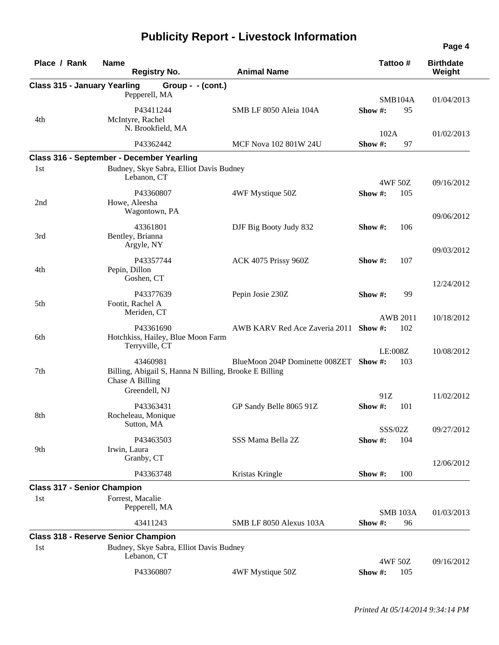| Place / Rank                        | <b>Name</b><br><b>Registry No.</b>                                       | <b>Animal Name</b>                     |            | Tattoo#         | <b>Birthdate</b><br>Weight |
|-------------------------------------|--------------------------------------------------------------------------|----------------------------------------|------------|-----------------|----------------------------|
| <b>Class 315 - January Yearling</b> | Group - - (cont.)                                                        |                                        |            |                 |                            |
|                                     | Pepperell, MA                                                            |                                        |            |                 |                            |
|                                     |                                                                          |                                        |            | SMB104A         | 01/04/2013                 |
| 4th                                 | P43411244<br>McIntyre, Rachel                                            | SMB LF 8050 Aleia 104A                 | Show $#$ : | 95              |                            |
|                                     | N. Brookfield, MA                                                        |                                        |            |                 |                            |
|                                     |                                                                          |                                        | 102A       |                 | 01/02/2013                 |
|                                     | P43362442                                                                | MCF Nova 102 801W 24U                  | Show #:    | 97              |                            |
|                                     | Class 316 - September - December Yearling                                |                                        |            |                 |                            |
| 1st                                 | Budney, Skye Sabra, Elliot Davis Budney                                  |                                        |            |                 |                            |
|                                     | Lebanon, CT                                                              |                                        |            | 4WF 50Z         | 09/16/2012                 |
|                                     | P43360807                                                                | 4WF Mystique 50Z                       | Show#:     | 105             |                            |
| 2nd                                 | Howe, Aleesha                                                            |                                        |            |                 |                            |
|                                     | Wagontown, PA                                                            |                                        |            |                 | 09/06/2012                 |
|                                     | 43361801                                                                 | DJF Big Booty Judy 832                 | Show #:    | 106             |                            |
| 3rd                                 | Bentley, Brianna                                                         |                                        |            |                 |                            |
|                                     | Argyle, NY                                                               |                                        |            |                 | 09/03/2012                 |
|                                     | P43357744                                                                | ACK 4075 Prissy 960Z                   | Show $#$ : | 107             |                            |
| 4th                                 | Pepin, Dillon                                                            |                                        |            |                 |                            |
|                                     | Goshen, CT                                                               |                                        |            |                 | 12/24/2012                 |
|                                     | P43377639                                                                | Pepin Josie 230Z                       | Show $#$ : | 99              |                            |
| 5th                                 | Footit, Rachel A                                                         |                                        |            |                 |                            |
|                                     | Meriden, CT                                                              |                                        |            |                 |                            |
|                                     |                                                                          |                                        |            | <b>AWB 2011</b> | 10/18/2012                 |
| 6th                                 | P43361690<br>Hotchkiss, Hailey, Blue Moon Farm                           | AWB KARV Red Ace Zaveria 2011 Show #:  |            | 102             |                            |
|                                     | Terryville, CT                                                           |                                        |            |                 |                            |
|                                     |                                                                          |                                        |            | LE:008Z         | 10/08/2012                 |
|                                     | 43460981                                                                 | BlueMoon 204P Dominette 008ZET Show #: |            | 103             |                            |
| 7th                                 | Billing, Abigail S, Hanna N Billing, Brooke E Billing<br>Chase A Billing |                                        |            |                 |                            |
|                                     | Greendell, NJ                                                            |                                        |            |                 |                            |
|                                     |                                                                          |                                        | 91Z        |                 | 11/02/2012                 |
|                                     | P43363431                                                                | GP Sandy Belle 8065 91Z                | Show#:     | 101             |                            |
| 8th                                 | Rocheleau, Monique                                                       |                                        |            |                 |                            |
|                                     | Sutton, MA                                                               |                                        |            | SSS/02Z         | 09/27/2012                 |
|                                     | P43463503                                                                | SSS Mama Bella 2Z                      | Show #:    | 104             |                            |
| 9th                                 | Irwin, Laura                                                             |                                        |            |                 |                            |
|                                     | Granby, CT                                                               |                                        |            |                 | 12/06/2012                 |
|                                     | P43363748                                                                | Kristas Kringle                        | Show #:    | 100             |                            |
| <b>Class 317 - Senior Champion</b>  |                                                                          |                                        |            |                 |                            |
| 1st                                 | Forrest, Macalie                                                         |                                        |            |                 |                            |
|                                     | Pepperell, MA                                                            |                                        |            |                 |                            |
|                                     | 43411243                                                                 | SMB LF 8050 Alexus 103A                |            | <b>SMB 103A</b> | 01/03/2013                 |
|                                     |                                                                          |                                        | Show#:     | 96              |                            |
|                                     | <b>Class 318 - Reserve Senior Champion</b>                               |                                        |            |                 |                            |
| 1st                                 | Budney, Skye Sabra, Elliot Davis Budney<br>Lebanon, CT                   |                                        |            |                 |                            |
|                                     |                                                                          |                                        |            | 4WF 50Z         | 09/16/2012                 |
|                                     | P43360807                                                                | 4WF Mystique 50Z                       | Show #:    | 105             |                            |
|                                     |                                                                          |                                        |            |                 |                            |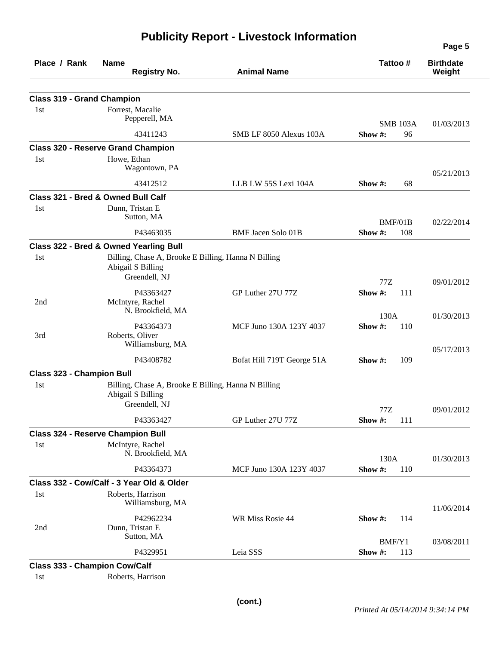| Place / Rank                         | <b>Name</b><br><b>Registry No.</b>                                                        | <b>Animal Name</b>         | Tattoo#                          | <b>Birthdate</b><br>Weight |
|--------------------------------------|-------------------------------------------------------------------------------------------|----------------------------|----------------------------------|----------------------------|
| <b>Class 319 - Grand Champion</b>    |                                                                                           |                            |                                  |                            |
| 1st                                  | Forrest, Macalie<br>Pepperell, MA                                                         |                            |                                  |                            |
|                                      | 43411243                                                                                  | SMB LF 8050 Alexus 103A    | <b>SMB 103A</b><br>Show#:<br>96  | 01/03/2013                 |
|                                      | <b>Class 320 - Reserve Grand Champion</b>                                                 |                            |                                  |                            |
| 1st                                  | Howe, Ethan<br>Wagontown, PA                                                              |                            |                                  | 05/21/2013                 |
|                                      | 43412512                                                                                  | LLB LW 55S Lexi 104A       | Show #:<br>68                    |                            |
|                                      | Class 321 - Bred & Owned Bull Calf                                                        |                            |                                  |                            |
| 1st                                  | Dunn, Tristan E<br>Sutton, MA                                                             |                            | BMF/01B                          | 02/22/2014                 |
|                                      | P43463035                                                                                 | <b>BMF</b> Jacen Solo 01B  | Show #:<br>108                   |                            |
|                                      | Class 322 - Bred & Owned Yearling Bull                                                    |                            |                                  |                            |
| 1st                                  | Billing, Chase A, Brooke E Billing, Hanna N Billing<br>Abigail S Billing<br>Greendell, NJ |                            |                                  |                            |
|                                      | P43363427                                                                                 | GP Luther 27U 77Z          | 77Z<br>Show #:<br>111            | 09/01/2012                 |
| 2nd                                  | McIntyre, Rachel<br>N. Brookfield, MA                                                     |                            |                                  |                            |
|                                      | P43364373                                                                                 | MCF Juno 130A 123Y 4037    | 130A<br>Show#:<br>110            | 01/30/2013                 |
| 3rd                                  | Roberts, Oliver<br>Williamsburg, MA                                                       |                            |                                  | 05/17/2013                 |
|                                      | P43408782                                                                                 | Bofat Hill 719T George 51A | Show #:<br>109                   |                            |
| <b>Class 323 - Champion Bull</b>     |                                                                                           |                            |                                  |                            |
| 1st                                  | Billing, Chase A, Brooke E Billing, Hanna N Billing<br>Abigail S Billing<br>Greendell, NJ |                            |                                  |                            |
|                                      | P43363427                                                                                 | GP Luther 27U 77Z          | $77\mathrm{Z}$<br>Show #:<br>111 | 09/01/2012                 |
|                                      | <b>Class 324 - Reserve Champion Bull</b>                                                  |                            |                                  |                            |
| 1st                                  | McIntyre, Rachel<br>N. Brookfield, MA                                                     |                            | 130A                             | 01/30/2013                 |
|                                      | P43364373                                                                                 | MCF Juno 130A 123Y 4037    | Show #:<br>110                   |                            |
|                                      | Class 332 - Cow/Calf - 3 Year Old & Older                                                 |                            |                                  |                            |
| 1st                                  | Roberts, Harrison<br>Williamsburg, MA                                                     |                            |                                  | 11/06/2014                 |
| 2nd                                  | P42962234<br>Dunn, Tristan E                                                              | WR Miss Rosie 44           | Show #:<br>114                   |                            |
|                                      | Sutton, MA                                                                                |                            | BMF/Y1                           | 03/08/2011                 |
|                                      | P4329951                                                                                  | Leia SSS                   | Show #:<br>113                   |                            |
| <b>Class 333 - Champion Cow/Calf</b> |                                                                                           |                            |                                  |                            |
| 1st                                  | Roberts, Harrison                                                                         |                            |                                  |                            |